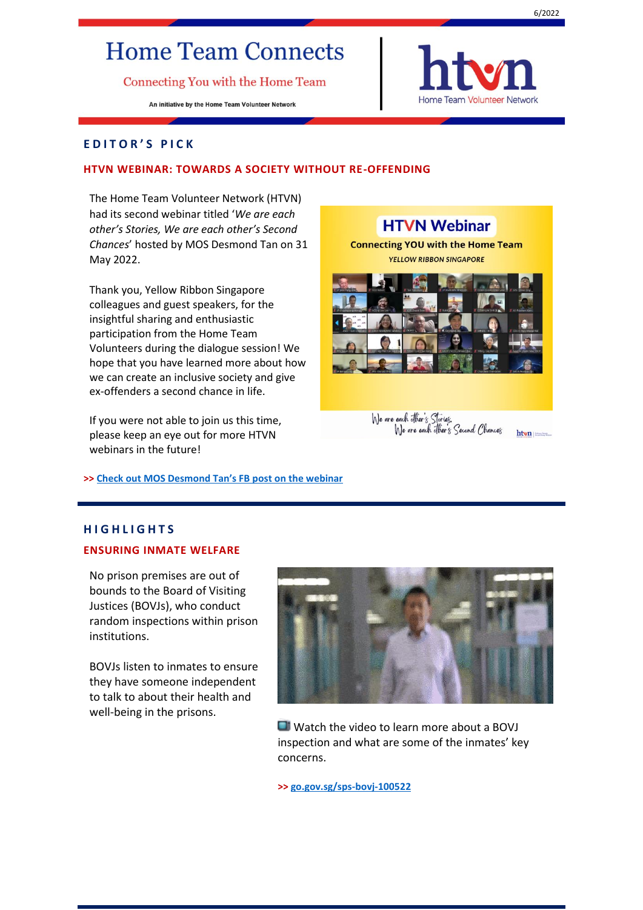# **Home Team Connects**

Connecting You with the Home Team

An initiative by the Home Team Volunteer Network



# **E D I T O R ' S P I C K**

# **HTVN WEBINAR: TOWARDS A SOCIETY WITHOUT RE-OFFENDING**

The Home Team Volunteer Network (HTVN) had its second webinar titled '*We are each other's Stories, We are each other's Second Chances*' hosted by MOS Desmond Tan on 31 May 2022.

Thank you, Yellow Ribbon Singapore colleagues and guest speakers, for the insightful sharing and enthusiastic participation from the Home Team Volunteers during the dialogue session! We hope that you have learned more about how we can create an inclusive society and give ex-offenders a second chance in life.

If you were not able to join us this time, please keep an eye out for more HTVN webinars in the future!

**>> [Check out MOS Desmond Tan's FB post on the webinar](https://www.facebook.com/desmondtkm/posts/428329079117230)**

# **HTVN Webinar Connecting YOU with the Home Team YELLOW RIBBON SINGAPORE**



# We are each offier's Stories.<br>We are each offier's Second Chances

# **H I G H L I G H T S ENSURING INMATE WELFARE**

No prison premises are out of bounds to the Board of Visiting Justices (BOVJs), who conduct random inspections within prison institutions.

BOVJs listen to inmates to ensure they have someone independent to talk to about their health and well-being in the prisons.



**D** Watch the video to learn more about a BOVJ inspection and what are some of the inmates' key concerns.

**>> <go.gov.sg/sps-bovj-100522>**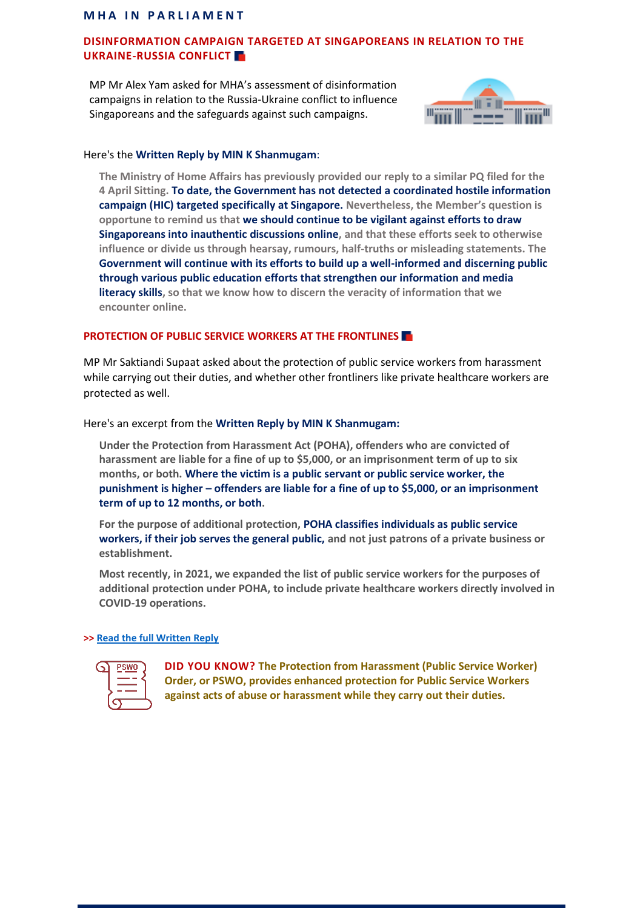# **MHA IN PARLIAMENT**

# **DISINFORMATION CAMPAIGN TARGETED AT SINGAPOREANS IN RELATION TO THE UKRAINE-RUSSIA CONFLICT**

MP Mr Alex Yam asked for MHA's assessment of disinformation campaigns in relation to the Russia-Ukraine conflict to influence Singaporeans and the safeguards against such campaigns.



# Here's the **Written Reply by MIN K Shanmugam**:

**The Ministry of Home Affairs has previously provided our reply to a similar PQ filed for the 4 April Sitting. To date, the Government has not detected a coordinated hostile information campaign (HIC) targeted specifically at Singapore. Nevertheless, the Member's question is opportune to remind us that we should continue to be vigilant against efforts to draw Singaporeans into inauthentic discussions online, and that these efforts seek to otherwise influence or divide us through hearsay, rumours, half-truths or misleading statements. The Government will continue with its efforts to build up a well-informed and discerning public through various public education efforts that strengthen our information and media literacy skills, so that we know how to discern the veracity of information that we encounter online.**

# **PROTECTION OF PUBLIC SERVICE WORKERS AT THE FRONTLINES**

MP Mr Saktiandi Supaat asked about the protection of public service workers from harassment while carrying out their duties, and whether other frontliners like private healthcare workers are protected as well.

Here's an excerpt from the **Written Reply by MIN K Shanmugam:**

**Under the Protection from Harassment Act (POHA), offenders who are convicted of harassment are liable for a fine of up to \$5,000, or an imprisonment term of up to six months, or both. Where the victim is a public servant or public service worker, the punishment is higher – offenders are liable for a fine of up to \$5,000, or an imprisonment term of up to 12 months, or both.**

**For the purpose of additional protection, POHA classifies individuals as public service workers, if their job serves the general public, and not just patrons of a private business or establishment.** 

**Most recently, in 2021, we expanded the list of public service workers for the purposes of additional protection under POHA, to include private healthcare workers directly involved in COVID-19 operations.** 

# **>> [Read the full Written Reply](https://www.mha.gov.sg/mediaroom/parliamentary/written-reply-to-pq-on-number-of-prosecuted-cases-of-harassment-of-public-servants-or-public-service-workers-in-the-execution-of-their-duties-in-the-past-three-years)**

| <b>PSWO</b> |  |
|-------------|--|
|             |  |
|             |  |

**DID YOU KNOW? The Protection from Harassment (Public Service Worker) Order, or PSWO, provides enhanced protection for Public Service Workers against acts of abuse or harassment while they carry out their duties.**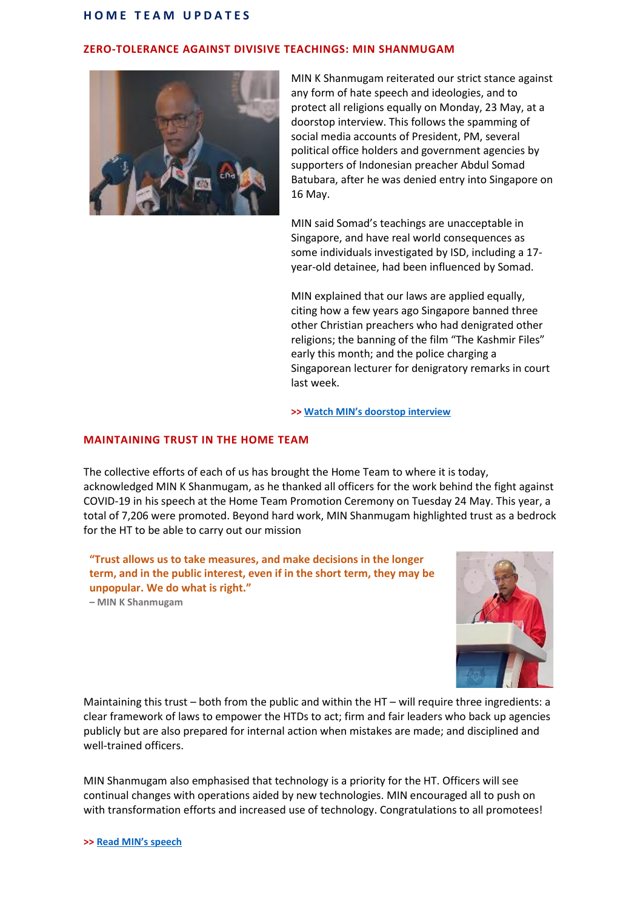## **H O M E T E A M U P D A T E S**

# **ZERO-TOLERANCE AGAINST DIVISIVE TEACHINGS: MIN SHANMUGAM**



MIN K Shanmugam reiterated our strict stance against any form of hate speech and ideologies, and to protect all religions equally on Monday, 23 May, at a doorstop interview. This follows the spamming of social media accounts of President, PM, several political office holders and government agencies by supporters of Indonesian preacher Abdul Somad Batubara, after he was denied entry into Singapore on 16 May.

MIN said Somad's teachings are unacceptable in Singapore, and have real world consequences as some individuals investigated by ISD, including a 17 year-old detainee, had been influenced by Somad.

MIN explained that our laws are applied equally, citing how a few years ago Singapore banned three other Christian preachers who had denigrated other religions; the banning of the film "The Kashmir Files" early this month; and the police charging a Singaporean lecturer for denigratory remarks in court last week.

#### **>> [Watch MIN's doorstop interview](https://fb.watch/deFcwf7pyt/)**

### **MAINTAINING TRUST IN THE HOME TEAM**

The collective efforts of each of us has brought the Home Team to where it is today, acknowledged MIN K Shanmugam, as he thanked all officers for the work behind the fight against COVID-19 in his speech at the Home Team Promotion Ceremony on Tuesday 24 May. This year, a total of 7,206 were promoted. Beyond hard work, MIN Shanmugam highlighted trust as a bedrock for the HT to be able to carry out our mission

**"Trust allows us to take measures, and make decisions in the longer term, and in the public interest, even if in the short term, they may be unpopular. We do what is right." – MIN K Shanmugam**



Maintaining this trust – both from the public and within the HT – will require three ingredients: a clear framework of laws to empower the HTDs to act; firm and fair leaders who back up agencies publicly but are also prepared for internal action when mistakes are made; and disciplined and well-trained officers.

MIN Shanmugam also emphasised that technology is a priority for the HT. Officers will see continual changes with operations aided by new technologies. MIN encouraged all to push on with transformation efforts and increased use of technology. Congratulations to all promotees!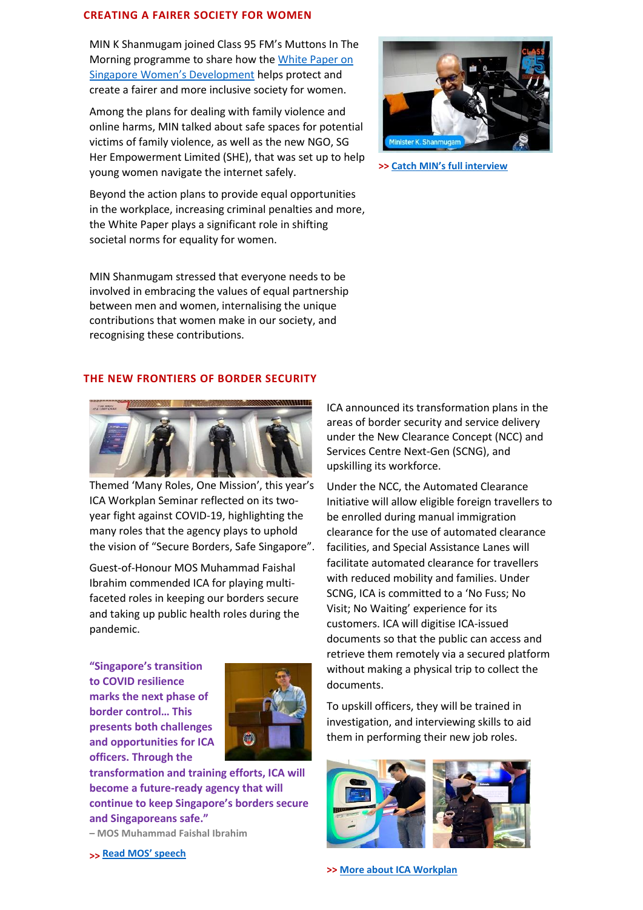### **CREATING A FAIRER SOCIETY FOR WOMEN**

MIN K Shanmugam joined Class 95 FM's Muttons In The Morning programme to share how the [White Paper on](https://www.reach.gov.sg/-/media/REACH/Reach-Files/Singapore-Women-Development/White-Paper/White-Paper-on-Singapore-Womens-Development.ashx)  [Singapore Women's Development](https://www.reach.gov.sg/-/media/REACH/Reach-Files/Singapore-Women-Development/White-Paper/White-Paper-on-Singapore-Womens-Development.ashx) helps protect and create a fairer and more inclusive society for women.

Among the plans for dealing with family violence and online harms, MIN talked about safe spaces for potential victims of family violence, as well as the new NGO, SG Her Empowerment Limited (SHE), that was set up to help young women navigate the internet safely.

Beyond the action plans to provide equal opportunities in the workplace, increasing criminal penalties and more, the White Paper plays a significant role in shifting societal norms for equality for women.

MIN Shanmugam stressed that everyone needs to be involved in embracing the values of equal partnership between men and women, internalising the unique contributions that women make in our society, and recognising these contributions.



**>> Catch [MIN's full interview](https://fb.watch/cNGjHhC4aL)**

# **THE NEW FRONTIERS OF BORDER SECURITY**



Themed 'Many Roles, One Mission', this year's ICA Workplan Seminar reflected on its twoyear fight against COVID-19, highlighting the many roles that the agency plays to uphold the vision of "Secure Borders, Safe Singapore".

Guest-of-Honour MOS Muhammad Faishal Ibrahim commended ICA for playing multifaceted roles in keeping our borders secure and taking up public health roles during the pandemic.

**"Singapore's transition to COVID resilience marks the next phase of border control… This presents both challenges and opportunities for ICA officers. Through the** 



**transformation and training efforts, ICA will become a future-ready agency that will continue to keep Singapore's borders secure and Singaporeans safe." – MOS Muhammad Faishal Ibrahim**

**>> Read [MOS' speech](https://www.mha.gov.sg/mediaroom/speeches/immigration-and-checkpoints-authority-workplan-seminar-2022)** 

ICA announced its transformation plans in the areas of border security and service delivery under the New Clearance Concept (NCC) and Services Centre Next-Gen (SCNG), and upskilling its workforce.

Under the NCC, the Automated Clearance Initiative will allow eligible foreign travellers to be enrolled during manual immigration clearance for the use of automated clearance facilities, and Special Assistance Lanes will facilitate automated clearance for travellers with reduced mobility and families. Under SCNG, ICA is committed to a 'No Fuss; No Visit; No Waiting' experience for its customers. ICA will digitise ICA-issued documents so that the public can access and retrieve them remotely via a secured platform without making a physical trip to collect the documents.

To upskill officers, they will be trained in investigation, and interviewing skills to aid them in performing their new job roles.



**>> [More about ICA Workplan](go.gov.sg/ica-wps-fb-070522)**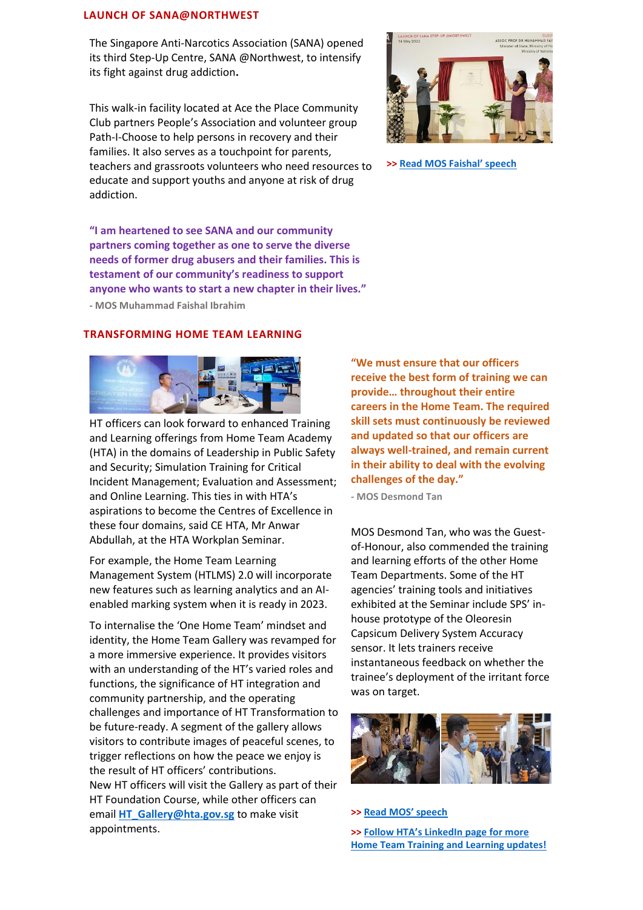## **LAUNCH OF SANA@NORTHWEST**

The Singapore Anti-Narcotics Association (SANA) opened its third Step-Up Centre, SANA @Northwest, to intensify its fight against drug addiction**.**

This walk-in facility located at Ace the Place Community Club partners People's Association and volunteer group Path-I-Choose to help persons in recovery and their families. It also serves as a touchpoint for parents, teachers and grassroots volunteers who need resources to educate and support youths and anyone at risk of drug addiction.

**"I am heartened to see SANA and our community partners coming together as one to serve the diverse needs of former drug abusers and their families. This is testament of our community's readiness to support anyone who wants to start a new chapter in their lives."** 

**- MOS Muhammad Faishal Ibrahim**

# **TRANSFORMING HOME TEAM LEARNING**



HT officers can look forward to enhanced Training and Learning offerings from Home Team Academy (HTA) in the domains of Leadership in Public Safety and Security; Simulation Training for Critical Incident Management; Evaluation and Assessment; and Online Learning. This ties in with HTA's aspirations to become the Centres of Excellence in these four domains, said CE HTA, Mr Anwar Abdullah, at the HTA Workplan Seminar.

For example, the Home Team Learning Management System (HTLMS) 2.0 will incorporate new features such as learning analytics and an AIenabled marking system when it is ready in 2023.

To internalise the 'One Home Team' mindset and identity, the Home Team Gallery was revamped for a more immersive experience. It provides visitors with an understanding of the HT's varied roles and functions, the significance of HT integration and community partnership, and the operating challenges and importance of HT Transformation to be future-ready. A segment of the gallery allows visitors to contribute images of peaceful scenes, to trigger reflections on how the peace we enjoy is the result of HT officers' contributions. New HT officers will visit the Gallery as part of their HT Foundation Course, while other officers can email **[HT\\_Gallery@hta.gov.sg](mailto:HT_Gallery@hta.gov.sg)** to make visit appointments.

**"We must ensure that our officers receive the best form of training we can provide… throughout their entire careers in the Home Team. The required skill sets must continuously be reviewed and updated so that our officers are always well-trained, and remain current in their ability to deal with the evolving challenges of the day."**

**- MOS Desmond Tan**

MOS Desmond Tan, who was the Guestof-Honour, also commended the training and learning efforts of the other Home Team Departments. Some of the HT agencies' training tools and initiatives exhibited at the Seminar include SPS' inhouse prototype of the Oleoresin Capsicum Delivery System Accuracy sensor. It lets trainers receive instantaneous feedback on whether the trainee's deployment of the irritant force was on target.



#### **>> Read [MOS' speech](https://www.mha.gov.sg/mediaroom/speeches/home-team-academy-workplan-seminar-2022)**

**>> [Follow HTA's](go.gov.sg/htalinkedin) [LinkedIn page for more](go.gov.sg/htalinkedin)  [Home Team Training and Learning updates!](go.gov.sg/htalinkedin)**



**>> Read [MOS Faishal' speech](https://www.mha.gov.sg/mediaroom/speeches/launch-of-sanas-step-up-at-northwest)**